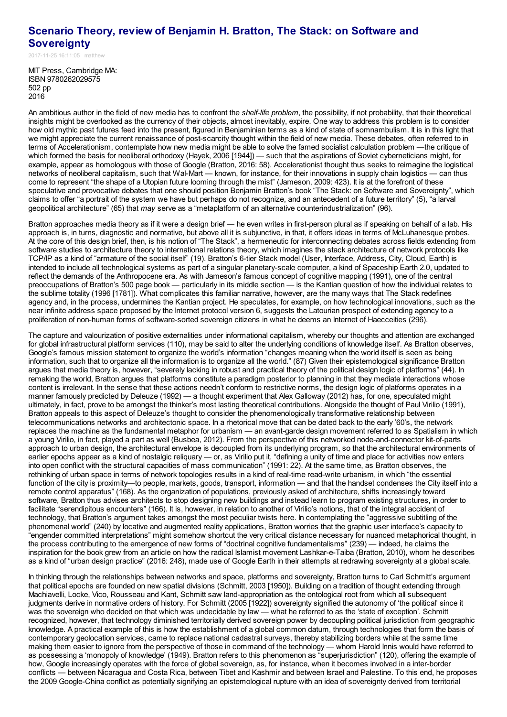## **Scenario Theory, review of Benjamin H. Bratton, The Stack: on Software and**

**[Sovereignty](http://computationalculture.net/scenario-theory-review-of-benjamin-h-bratton-the-stack-on-software-and-sovereignty/)** 2017-11-25 16:11:05 matthew

MIT Press, Cambridge MA: ISBN 9780262029575 502 pp 2016

An ambitious author in the field of new media has to confront the *shelf-life problem*, the possibility, if not probability, that their theoretical insights might be overlooked as the currency of their objects, almost inevitably, expire. One way to address this problem is to consider how old mythic past futures feed into the present, figured in Benjaminian terms as a kind of state of somnambulism. It is in this light that we might appreciate the current renaissance of post-scarcity thought within the field of new media. These debates, often referred to in terms of Accelerationism, contemplate how new media might be able to solve the famed socialist calculation problem —the critique of which formed the basis for neoliberal orthodoxy (Hayek, 2006 [1944]) — such that the aspirations of Soviet cyberneticians might, for example, appear as homologous with those of Google (Bratton, 2016: 58). Accelerationist thought thus seeks to reimagine the logistical networks of neoliberal capitalism, such that Wal-Mart — known, for instance, for their innovations in supply chain logistics — can thus come to represent "the shape of a Utopian future looming through the mist" (Jameson, 2009: 423). It is at the forefront of these speculative and provocative debates that one should position Benjamin Bratton's book "The Stack: on Software and Sovereignty", which claims to offer "a portrait of the system we have but perhaps do not recognize, and an antecedent of a future territory" (5), "a larval geopolitical architecture" (65) that *may* serve as a "metaplatform of an alternative counterindustrialization" (96).

Bratton approaches media theory as if it were a design brief — he even writes in first-person plural as if speaking on behalf of a lab. His approach is, in turns, diagnostic and normative, but above all it is subjunctive, in that, it offers ideas in terms of McLuhanesque probes. At the core of this design brief, then, is his notion of "The Stack", a hermeneutic for interconnecting debates across fields extending from software studies to architecture theory to international relations theory, which imagines the stack architecture of network protocols like TCP/IP as a kind of "armature of the social itself" (19). Bratton's 6-tier Stack model (User, Interface, Address, City, Cloud, Earth) is intended to include all technological systems as part of a singular planetary-scale computer, a kind of Spaceship Earth 2.0, updated to reflect the demands of the Anthropocene era. As with Jameson's famous concept of cognitive mapping (1991), one of the central preoccupations of Bratton's 500 page book — particularly in its middle section — is the Kantian question of how the individual relates to the sublime totality (1996 [1781]). What complicates this familiar narrative, however, are the many ways that The Stack redefines agency and, in the process, undermines the Kantian project. He speculates, for example, on how technological innovations, such as the near infinite address space proposed by the Internet protocol version 6, suggests the Latourian prospect of extending agency to a proliferation of non-human forms of software-sorted sovereign citizens in what he deems an Internet of Haecceities (296).

The capture and valourization of positive externalities under informational capitalism, whereby our thoughts and attention are exchanged for global infrastructural platform services (110), may be said to alter the underlying conditions of knowledge itself. As Bratton observes, Google's famous mission statement to organize the world's information "changes meaning when the world itself is seen as being information, such that to organize all the information is to organize all the world." (87) Given their epistemological significance Bratton argues that media theory is, however, "severely lacking in robust and practical theory of the political design logic of platforms" (44). In remaking the world, Bratton argues that platforms constitute a paradigm posterior to planning in that they mediate interactions whose content is irrelevant. In the sense that these actions needn't conform to restrictive norms, the design logic of platforms operates in a manner famously predicted by Deleuze (1992) — a thought experiment that Alex Galloway (2012) has, for one, speculated might ultimately, in fact, prove to be amongst the thinker's most lasting theoretical contributions. Alongside the thought of Paul Virilio (1991), Bratton appeals to this aspect of Deleuze's thought to consider the phenomenologically transformative relationship between telecommunications networks and architectonic space. In a rhetorical move that can be dated back to the early '60's, the network replaces the machine as the fundamental metaphor for urbanism — an avant-garde design movement referred to as Spatialism in which a young Virilio, in fact, played a part as well (Busbea, 2012). From the perspective of this networked node-and-connector kit-of-parts approach to urban design, the architectural envelope is decoupled from its underlying program, so that the architectural environments of earlier epochs appear as a kind of nostalgic reliquary — or, as Virilio put it, "defining a unity of time and place for activities now enters into open conflict with the structural capacities of mass communication" (1991: 22). At the same time, as Bratton observes, the rethinking of urban space in terms of network topologies results in a kind of real-time read-write urbanism, in which "the essential function of the city is proximity—to people, markets, goods, transport, information — and that the handset condenses the City itself into a remote control apparatus" (168). As the organization of populations, previously asked of architecture, shifts increasingly toward software, Bratton thus advises architects to stop designing new buildings and instead learn to program existing structures, in order to facilitate "serendipitous encounters" (166). It is, however, in relation to another of Virilio's notions, that of the integral accident of technology, that Bratton's argument takes amongst the most peculiar twists here. In contemplating the "aggressive subtitling of the phenomenal world" (240) by locative and augmented reality applications, Bratton worries that the graphic user interface's capacity to "engender committed interpretations" might somehow shortcut the very critical distance necessary for nuanced metaphorical thought, in the process contributing to the emergence of new forms of "doctrinal cognitive fundamentalisms" (239) — indeed, he claims the inspiration for the book grew from an article on how the radical Islamist movement Lashkar-e-Taiba (Bratton, 2010), whom he describes as a kind of "urban design practice" (2016: 248), made use of Google Earth in their attempts at redrawing sovereignty at a global scale.

In thinking through the relationships between networks and space, platforms and sovereignty, Bratton turns to Carl Schmitt's argument that political epochs are founded on new spatial divisions (Schmitt, 2003 [1950]). Building on a tradition of thought extending through Machiavelli, Locke, Vico, Rousseau and Kant, Schmitt saw land-appropriation as the ontological root from which all subsequent judgments derive in normative orders of history. For Schmitt (2005 [1922]) sovereignty signified the autonomy of 'the political' since it was the sovereign who decided on that which was undecidable by law — what he referred to as the 'state of exception'. Schmitt recognized, however, that technology diminished territorially derived sovereign power by decoupling political jurisdiction from geographic knowledge. A practical example of this is how the establishment of a global common datum, through technologies that form the basis of contemporary geolocation services, came to replace national cadastral surveys, thereby stabilizing borders while at the same time making them easier to ignore from the perspective of those in command of the technology — whom Harold Innis would have referred to as possessing a 'monopoly of knowledge' (1949). Bratton refers to this phenomenon as "superjurisdiction" (120), offering the example of how, Google increasingly operates with the force of global sovereign, as, for instance, when it becomes involved in a inter-border conflicts — between Nicaragua and Costa Rica, between Tibet and Kashmir and between Israel and Palestine. To this end, he proposes the 2009 Google-China conflict as potentially signifying an epistemological rupture with an idea of sovereignty derived from territorial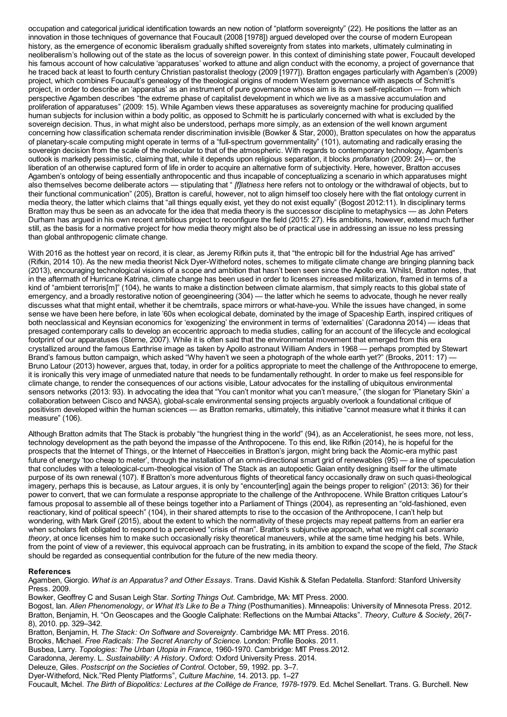occupation and categorical juridical identification towards an new notion of "platform sovereignty" (22). He positions the latter as an innovation in those techniques of governance that Foucault (2008 [1978]) argued developed over the course of modern European history, as the emergence of economic liberalism gradually shifted sovereignty from states into markets, ultimately culminating in neoliberalism's hollowing out of the state as the locus of sovereign power. In this context of diminishing state power, Foucault developed his famous account of how calculative 'apparatuses' worked to attune and align conduct with the economy, a project of governance that he traced back at least to fourth century Christian pastoralist theology (2009 [1977]). Bratton engages particularly with Agamben's (2009) project, which combines Foucault's genealogy of the theological origins of modern Western governance with aspects of Schmitt's project, in order to describe an 'apparatus' as an instrument of pure governance whose aim is its own self-replication — from which perspective Agamben describes "the extreme phase of capitalist development in which we live as a massive accumulation and proliferation of apparatuses" (2009: 15). While Agamben views these apparatuses as sovereignty machine for producing qualified human subjects for inclusion within a body politic, as opposed to Schmitt he is particularly concerned with what is excluded by the sovereign decision. Thus, in what might also be understood, perhaps more simply, as an extension of the well known argument concerning how classification schemata render discrimination invisible (Bowker & Star, 2000), Bratton speculates on how the apparatus of planetary-scale computing might operate in terms of a "full-spectrum governmentality" (101), automating and radically erasing the sovereign decision from the scale of the molecular to that of the atmospheric. With regards to contemporary technology, Agamben's outlook is markedly pessimistic, claiming that, while it depends upon religious separation, it blocks *profanation* (2009: 24)— or, the liberation of an otherwise captured form of life in order to acquire an alternative form of subjectivity. Here, however, Bratton accuses Agamben's ontology of being essentially anthropocentic and thus incapable of conceptualizing a scenario in which apparatuses might also themselves become deliberate actors — stipulating that " *[f]latness* here refers not to ontology or the withdrawal of objects, but to their functional communication" (205), Bratton is careful, however, not to align himself too closely here with the flat ontology current in media theory, the latter which claims that "all things equally exist, yet they do not exist equally" (Bogost 2012:11). In disciplinary terms Bratton may thus be seen as an advocate for the idea that media theory is the successor discipline to metaphysics — as John Peters Durham has argued in his own recent ambitious project to reconfigure the field (2015: 27). His ambitions, however, extend much further still, as the basis for a normative project for how media theory might also be of practical use in addressing an issue no less pressing than global anthropogenic climate change.

With 2016 as the hottest year on record, it is clear, as Jeremy Rifkin puts it, that "the entropic bill for the Industrial Age has arrived" (Rifkin, 2014 10). As the new media theorist Nick Dyer-Witheford notes, schemes to mitigate climate change are bringing planning back (2013), encouraging technological visions of a scope and ambition that hasn't been seen since the Apollo era. Whilst, Bratton notes, that in the aftermath of Hurricane Katrina, climate change has been used in order to licenses increased militarization, framed in terms of a kind of "ambient terroris[m]" (104), he wants to make a distinction between climate alarmism, that simply reacts to this global state of emergency, and a broadly restorative notion of geoengineering (304) — the latter which he seems to advocate, though he never really discusses what that might entail, whether it be chemtrails, space mirrors or what-have-you. While the issues have changed, in some sense we have been here before, in late '60s when ecological debate, dominated by the image of Spaceship Earth, inspired critiques of both neoclassical and Keynsian economics for 'exogenizing' the environment in terms of 'externalities' (Caradonna 2014) — ideas that presaged contemporary calls to develop an ecocentric approach to media studies, calling for an account of the lifecycle and ecological footprint of our apparatuses (Sterne, 2007). While it is often said that the environmental movement that emerged from this era crystallized around the famous Earthrise image as taken by Apollo astronaut William Anders in 1968 — perhaps prompted by Stewart Brand's famous button campaign, which asked "Why haven't we seen a photograph of the whole earth yet?" (Brooks, 2011: 17) -Bruno Latour (2013) however, argues that, today, in order for a politics appropriate to meet the challenge of the Anthropocene to emerge, it is ironically this very image of unmediated nature that needs to be fundamentally rethought. In order to make us feel responsible for climate change, to render the consequences of our actions visible, Latour advocates for the installing of ubiquitous environmental sensors networks (2013: 93). In advocating the idea that "You can't monitor what you can't measure," (the slogan for 'Planetary Skin' a collaboration between Cisco and NASA), global-scale environmental sensing projects arguably overlook a foundational critique of positivism developed within the human sciences — as Bratton remarks, ultimately, this initiative "cannot measure what it thinks it can measure" (106).

Although Bratton admits that The Stack is probably "the hungriest thing in the world" (94), as an Accelerationist, he sees more, not less, technology development as the path beyond the impasse of the Anthropocene. To this end, like Rifkin (2014), he is hopeful for the prospects that the Internet of Things, or the Internet of Haecceities in Bratton's jargon, might bring back the Atomic-era mythic past future of energy 'too cheap to meter', through the installation of an omni-directional smart grid of renewables (95) — a line of speculation that concludes with a teleological-cum-theological vision of The Stack as an autopoetic Gaian entity designing itself for the ultimate purpose of its own renewal (107). If Bratton's more adventurous flights of theoretical fancy occasionally draw on such quasi-theological imagery, perhaps this is because, as Latour argues, it is only by "encounter[ing] again the beings proper to religion" (2013: 36) for their power to convert, that we can formulate a response appropriate to the challenge of the Anthropocene. While Bratton critiques Latour's famous proposal to assemble all of these beings together into a Parliament of Things (2004), as representing an "old-fashioned, even reactionary, kind of political speech" (104), in their shared attempts to rise to the occasion of the Anthropocene, I can't help but wondering, with Mark Greif (2015), about the extent to which the normativity of these projects may repeat patterns from an earlier era when scholars felt obligated to respond to a perceived "crisis of man". Bratton's subjunctive approach, what we might call *scenario theory*, at once licenses him to make such occasionally risky theoretical maneuvers, while at the same time hedging his bets. While, from the point of view of a reviewer, this equivocal approach can be frustrating, in its ambition to expand the scope of the field, *The Stack* should be regarded as consequential contribution for the future of the new media theory.

## **References**

Agamben, Giorgio. *What is an Apparatus? and Other Essays*. Trans. David Kishik & Stefan Pedatella. Stanford: Stanford University Press. 2009.

Bowker, Geoffrey C and Susan Leigh Star. *Sorting Things Out*. Cambridge, MA: MIT Press. 2000.

Bogost, Ian. *Alien Phenomenology, or What It's Like to Be a Thing* (Posthumanities). Minneapolis: University of Minnesota Press. 2012. Bratton, Benjamin, H. "On Geoscapes and the Google Caliphate: Reflections on the Mumbai Attacks". *Theory, Culture & Society*, 26(7- 8), 2010. pp. 329–342.

Bratton, Benjamin, H. *The Stack: On Software and Sovereignty*. Cambridge MA: MIT Press. 2016.

Brooks, Michael. *Free Radicals: The Secret Anarchy of Science*. London: Profile Books. 2011.

Busbea, Larry. *Topologies: The Urban Utopia in France*, 1960-1970. Cambridge: MIT Press.2012.

Caradonna, Jeremy. L. *Sustainability: A History*. Oxford: Oxford University Press. 2014.

Deleuze, Giles. *Postscript on the Societies of Control*. October, 59, 1992. pp. 3–7.

Dyer-Witheford, Nick."Red Plenty Platforms", *Culture Machine*, 14. 2013. pp. 1–27

Foucault, Michel. *The Birth of Biopolitics: Lectures at the Collège de France, 1978-1979*. Ed. Michel Senellart. Trans. G. Burchell. New